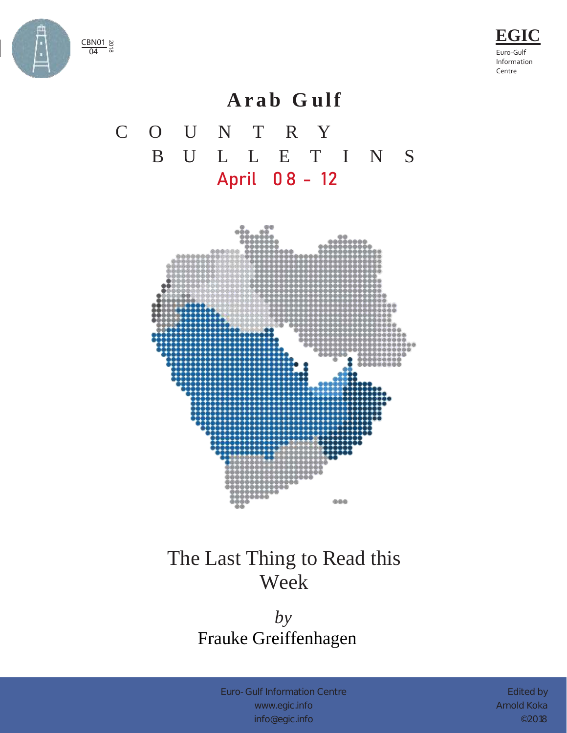



### **A r a b G u l f**

# C O U N T R Y B U L L E T I N S April 0 8 - 12



## The Last Thing to Read this Week

#### *by* Frauke Greiffenhagen

Euro-Gulf Information Centre [www.egic.info](http://www.egic.info/) [info@egic.info](mailto:info@egic.info)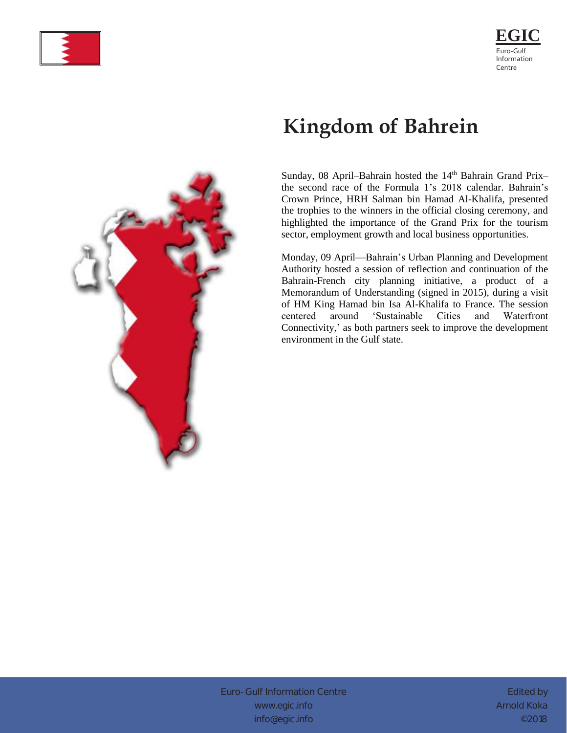



# **Kingdom of Bahrein**

Sunday, 08 April–Bahrain hosted the 14<sup>th</sup> Bahrain Grand Prix– the second race of the Formula 1's 2018 calendar. Bahrain's Crown Prince, HRH Salman bin Hamad Al-Khalifa, presented the trophies to the winners in the official closing ceremony, and highlighted the importance of the Grand Prix for the tourism sector, employment growth and local business opportunities.

Monday, 09 April—Bahrain's Urban Planning and Development Authority hosted a session of reflection and continuation of the Bahrain-French city planning initiative, a product of a Memorandum of Understanding (signed in 2015), during a visit of HM King Hamad bin Isa Al-Khalifa to France. The session centered around 'Sustainable Cities and Waterfront Connectivity,' as both partners seek to improve the development environment in the Gulf state.



Euro-Gulf Information Centre [www.egic.info](http://www.egic.info/) [info@egic.info](mailto:info@egic.info)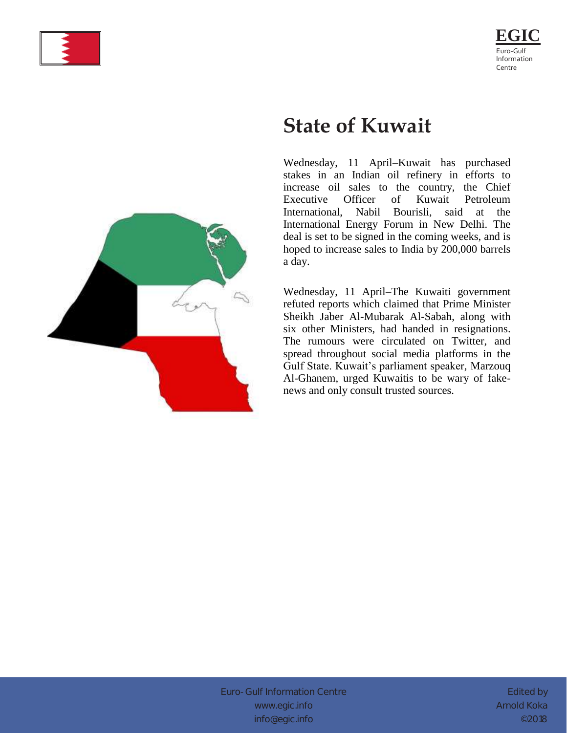



### **State of Kuwait**

Wednesday, 11 April–Kuwait has purchased stakes in an Indian oil refinery in efforts to increase oil sales to the country, the Chief Executive Officer of Kuwait Petroleum International, Nabil Bourisli, said at the International Energy Forum in New Delhi. The deal is set to be signed in the coming weeks, and is hoped to increase sales to India by 200,000 barrels a day.

Wednesday, 11 April–The Kuwaiti government refuted reports which claimed that Prime Minister Sheikh Jaber Al-Mubarak Al-Sabah, along with six other Ministers, had handed in resignations. The rumours were circulated on Twitter, and spread throughout social media platforms in the Gulf State. Kuwait's parliament speaker, Marzouq Al-Ghanem, urged Kuwaitis to be wary of fakenews and only consult trusted sources.

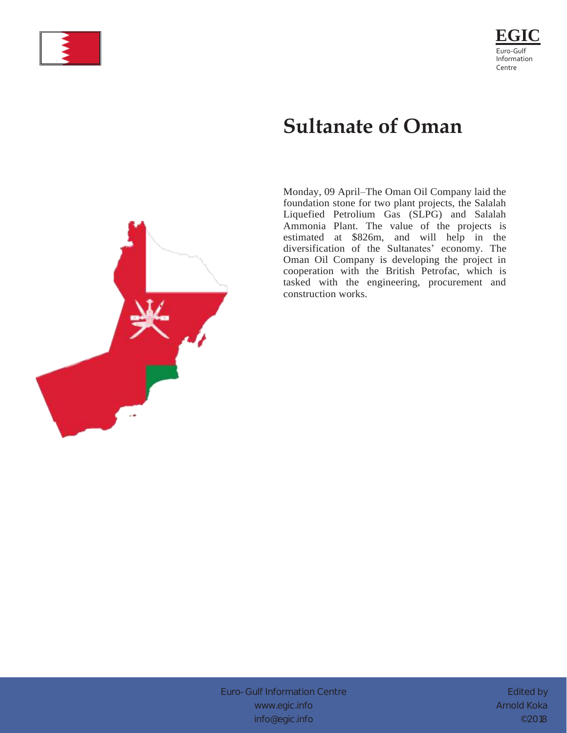



# **Sultanate of Oman**

Monday, 09 April–The Oman Oil Company laid the foundation stone for two plant projects, the Salalah Liquefied Petrolium Gas (SLPG) and Salalah Ammonia Plant. The value of the projects is estimated at \$826m, and will help in the diversification of the Sultanates' economy. The Oman Oil Company is developing the project in cooperation with the British Petrofac, which is tasked with the engineering, procurement and construction works.



Euro-Gulf Information Centre [www.egic.info](http://www.egic.info/) [info@egic.info](mailto:info@egic.info)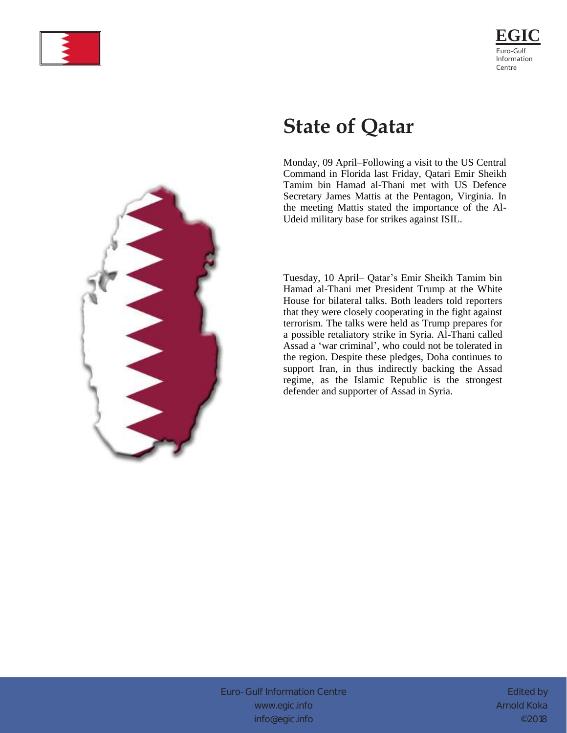



# **State of Qatar**

Monday, 09 April–Following a visit to the US Central Command in Florida last Friday, Qatari Emir Sheikh Tamim bin Hamad al-Thani met with US Defence Secretary James Mattis at the Pentagon, Virginia. In the meeting Mattis stated the importance of the Al-Udeid military base for strikes against ISIL.

Tuesday, 10 April– Qatar's Emir Sheikh Tamim bin Hamad al-Thani met President Trump at the White House for bilateral talks. Both leaders told reporters that they were closely cooperating in the fight against terrorism. The talks were held as Trump prepares for a possible retaliatory strike in Syria. Al-Thani called Assad a 'war criminal', who could not be tolerated in the region. Despite these pledges, Doha continues to support Iran, in thus indirectly backing the Assad regime, as the Islamic Republic is the strongest defender and supporter of Assad in Syria.



Euro-Gulf Information Centre [www.egic.info](http://www.egic.info/) [info@egic.info](mailto:info@egic.info)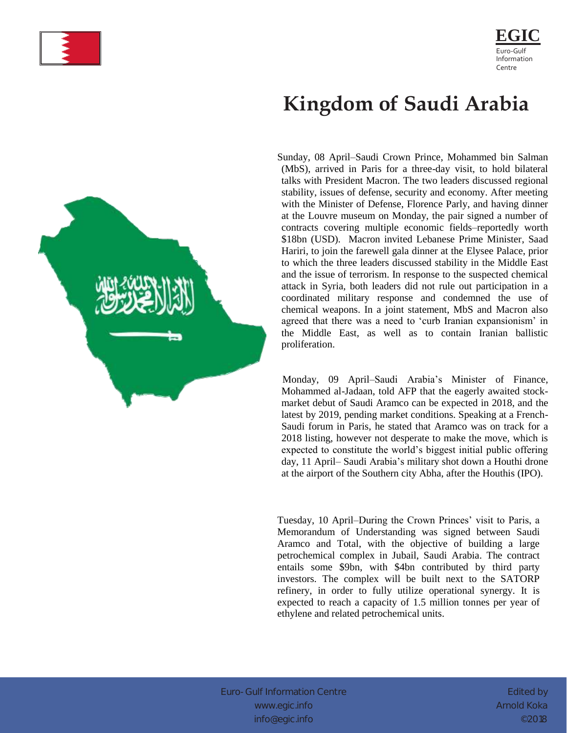



# **Kingdom of Saudi Arabia**

Sunday, 08 April–Saudi Crown Prince, Mohammed bin Salman (MbS), arrived in Paris for a three-day visit, to hold bilateral talks with President Macron. The two leaders discussed regional stability, issues of defense, security and economy. After meeting with the Minister of Defense, Florence Parly, and having dinner at the Louvre museum on Monday, the pair signed a number of contracts covering multiple economic fields–reportedly worth \$18bn (USD). Macron invited Lebanese Prime Minister, Saad Hariri, to join the farewell gala dinner at the Elysee Palace, prior to which the three leaders discussed stability in the Middle East and the issue of terrorism. In response to the suspected chemical attack in Syria, both leaders did not rule out participation in a coordinated military response and condemned the use of chemical weapons. In a joint statement, MbS and Macron also agreed that there was a need to 'curb Iranian expansionism' in the Middle East, as well as to contain Iranian ballistic proliferation.

 Monday, 09 April–Saudi Arabia's Minister of Finance, Mohammed al-Jadaan, told AFP that the eagerly awaited stockmarket debut of Saudi Aramco can be expected in 2018, and the latest by 2019, pending market conditions. Speaking at a French-Saudi forum in Paris, he stated that Aramco was on track for a 2018 listing, however not desperate to make the move, which is expected to constitute the world's biggest initial public offering day, 11 April– Saudi Arabia's military shot down a Houthi drone at the airport of the Southern city Abha, after the Houthis (IPO).

Tuesday, 10 April–During the Crown Princes' visit to Paris, a Memorandum of Understanding was signed between Saudi Aramco and Total, with the objective of building a large petrochemical complex in Jubail, Saudi Arabia. The contract entails some \$9bn, with \$4bn contributed by third party investors. The complex will be built next to the SATORP refinery, in order to fully utilize operational synergy. It is expected to reach a capacity of 1.5 million tonnes per year of ethylene and related petrochemical units.

Euro-Gulf Information Centre [www.egic.info](http://www.egic.info/) [info@egic.info](mailto:info@egic.info)

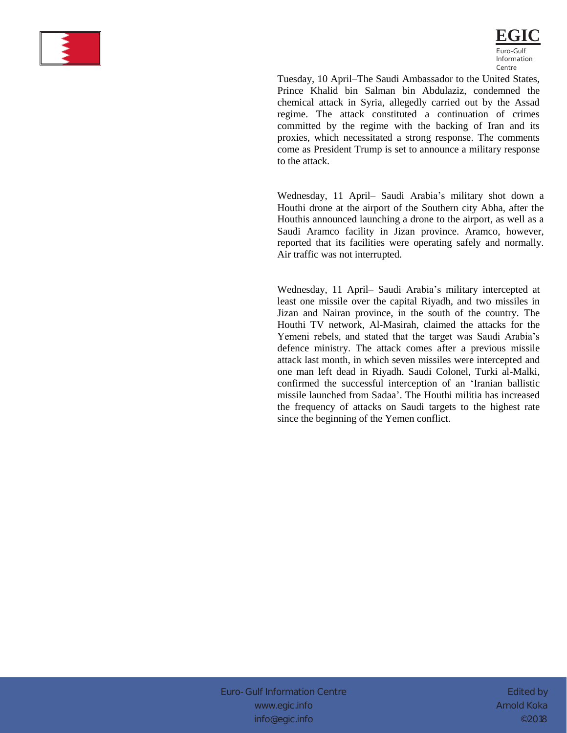



Tuesday, 10 April–The Saudi Ambassador to the United States, Prince Khalid bin Salman bin Abdulaziz, condemned the chemical attack in Syria, allegedly carried out by the Assad regime. The attack constituted a continuation of crimes committed by the regime with the backing of Iran and its proxies, which necessitated a strong response. The comments come as President Trump is set to announce a military response to the attack.

Wednesday, 11 April– Saudi Arabia's military shot down a Houthi drone at the airport of the Southern city Abha, after the Houthis announced launching a drone to the airport, as well as a Saudi Aramco facility in Jizan province. Aramco, however, reported that its facilities were operating safely and normally. Air traffic was not interrupted.

Wednesday, 11 April– Saudi Arabia's military intercepted at least one missile over the capital Riyadh, and two missiles in Jizan and Nairan province, in the south of the country. The Houthi TV network, Al-Masirah, claimed the attacks for the Yemeni rebels, and stated that the target was Saudi Arabia's defence ministry. The attack comes after a previous missile attack last month, in which seven missiles were intercepted and one man left dead in Riyadh. Saudi Colonel, Turki al-Malki, confirmed the successful interception of an 'Iranian ballistic missile launched from Sadaa'. The Houthi militia has increased the frequency of attacks on Saudi targets to the highest rate since the beginning of the Yemen conflict.

Euro-Gulf Information Centre [www.egic.info](http://www.egic.info/) [info@egic.info](mailto:info@egic.info)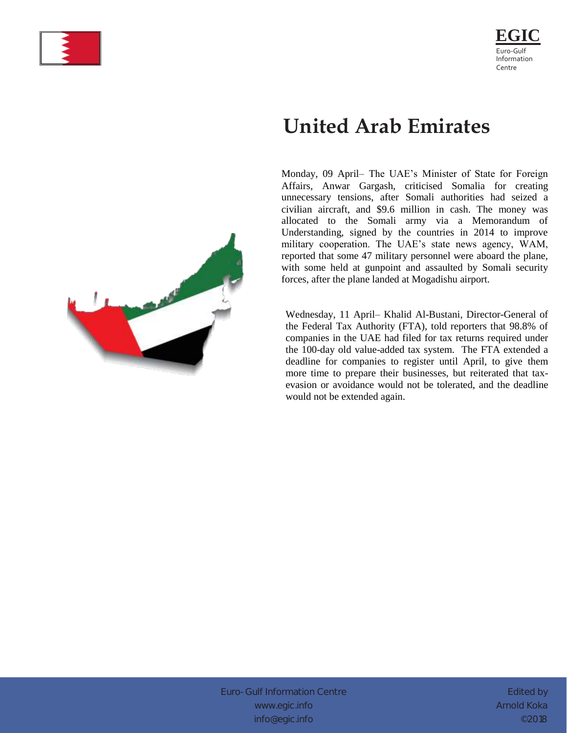



# **United Arab Emirates**

Monday, 09 April– The UAE's Minister of State for Foreign Affairs, Anwar Gargash, criticised Somalia for creating unnecessary tensions, after Somali authorities had seized a civilian aircraft, and \$9.6 million in cash. The money was allocated to the Somali army via a Memorandum of Understanding, signed by the countries in 2014 to improve military cooperation. The UAE's state news agency, WAM, reported that some 47 military personnel were aboard the plane, with some held at gunpoint and assaulted by Somali security forces, after the plane landed at Mogadishu airport.

Wednesday, 11 April– Khalid Al-Bustani, Director-General of the Federal Tax Authority (FTA), told reporters that 98.8% of companies in the UAE had filed for tax returns required under the 100-day old value-added tax system. The FTA extended a deadline for companies to register until April, to give them more time to prepare their businesses, but reiterated that taxevasion or avoidance would not be tolerated, and the deadline would not be extended again.



Euro-Gulf Information Centre [www.egic.info](http://www.egic.info/) [info@egic.info](mailto:info@egic.info)